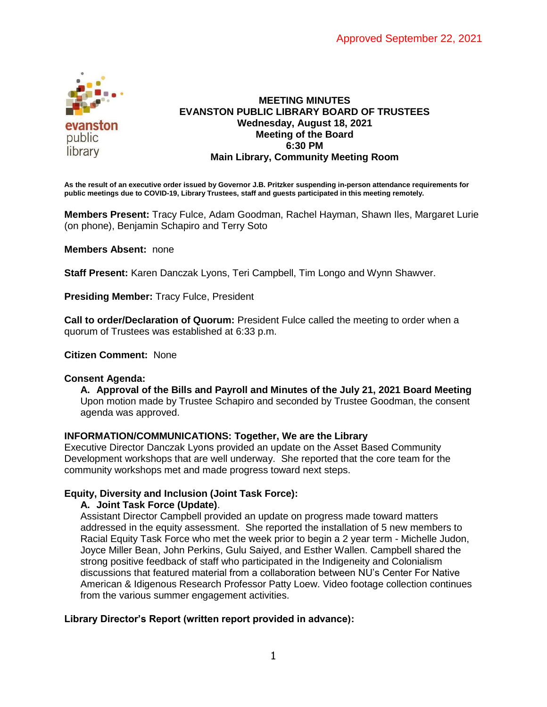

# **MEETING MINUTES EVANSTON PUBLIC LIBRARY BOARD OF TRUSTEES Wednesday, August 18, 2021 Meeting of the Board 6:30 PM Main Library, Community Meeting Room**

**As the result of an executive order issued by Governor J.B. Pritzker suspending in-person attendance requirements for public meetings due to COVID-19, Library Trustees, staff and guests participated in this meeting remotely.**

**Members Present:** Tracy Fulce, Adam Goodman, Rachel Hayman, Shawn Iles, Margaret Lurie (on phone), Benjamin Schapiro and Terry Soto

**Members Absent:** none

**Staff Present:** Karen Danczak Lyons, Teri Campbell, Tim Longo and Wynn Shawver.

**Presiding Member:** Tracy Fulce, President

**Call to order/Declaration of Quorum:** President Fulce called the meeting to order when a quorum of Trustees was established at 6:33 p.m.

**Citizen Comment:** None

### **Consent Agenda:**

**A. Approval of the Bills and Payroll and Minutes of the July 21, 2021 Board Meeting** Upon motion made by Trustee Schapiro and seconded by Trustee Goodman, the consent agenda was approved.

### **INFORMATION/COMMUNICATIONS: Together, We are the Library**

Executive Director Danczak Lyons provided an update on the Asset Based Community Development workshops that are well underway. She reported that the core team for the community workshops met and made progress toward next steps.

### **Equity, Diversity and Inclusion (Joint Task Force):**

**A. Joint Task Force (Update)**.

Assistant Director Campbell provided an update on progress made toward matters addressed in the equity assessment. She reported the installation of 5 new members to Racial Equity Task Force who met the week prior to begin a 2 year term - Michelle Judon, Joyce Miller Bean, John Perkins, Gulu Saiyed, and Esther Wallen. Campbell shared the strong positive feedback of staff who participated in the Indigeneity and Colonialism discussions that featured material from a collaboration between NU's Center For Native American & Idigenous Research Professor Patty Loew. Video footage collection continues from the various summer engagement activities.

## **Library Director's Report (written report provided in advance):**